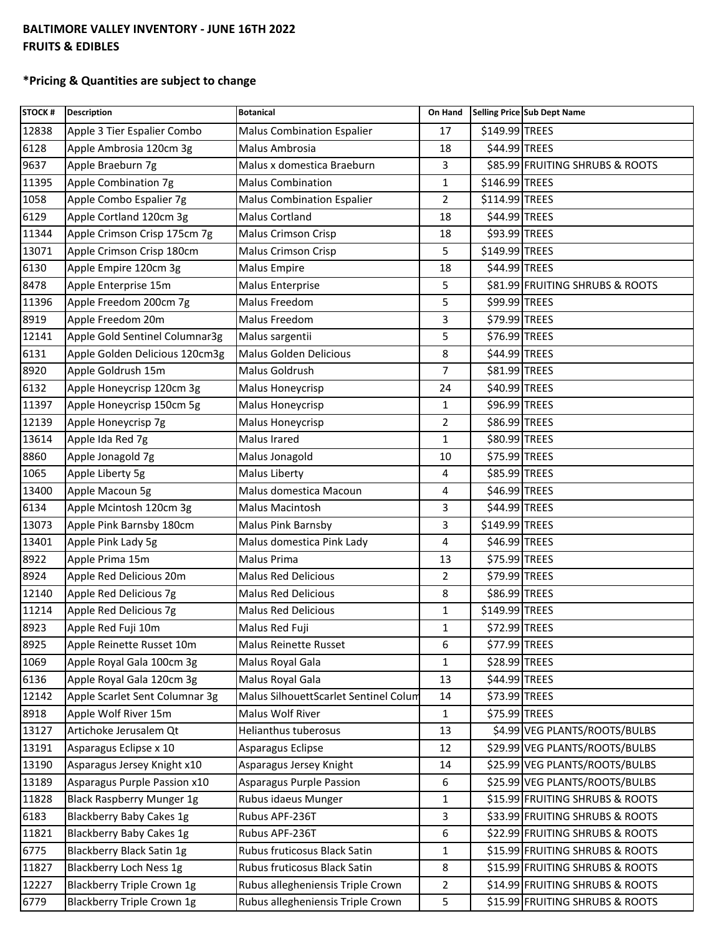## **BALTIMORE VALLEY INVENTORY - JUNE 16TH 2022 FRUITS & EDIBLES**

## **\*Pricing & Quantities are subject to change**

| <b>STOCK#</b> | <b>Description</b>               | <b>Botanical</b>                      | On Hand        |                | Selling Price Sub Dept Name     |
|---------------|----------------------------------|---------------------------------------|----------------|----------------|---------------------------------|
| 12838         | Apple 3 Tier Espalier Combo      | <b>Malus Combination Espalier</b>     | 17             | \$149.99 TREES |                                 |
| 6128          | Apple Ambrosia 120cm 3g          | Malus Ambrosia                        | 18             | \$44.99 TREES  |                                 |
| 9637          | Apple Braeburn 7g                | Malus x domestica Braeburn            | 3              |                | \$85.99 FRUITING SHRUBS & ROOTS |
| 11395         | Apple Combination 7g             | <b>Malus Combination</b>              | $\mathbf{1}$   | \$146.99 TREES |                                 |
| 1058          | Apple Combo Espalier 7g          | <b>Malus Combination Espalier</b>     | $\overline{2}$ | \$114.99 TREES |                                 |
| 6129          | Apple Cortland 120cm 3g          | Malus Cortland                        | 18             | \$44.99 TREES  |                                 |
| 11344         | Apple Crimson Crisp 175cm 7g     | <b>Malus Crimson Crisp</b>            | 18             | \$93.99 TREES  |                                 |
| 13071         | Apple Crimson Crisp 180cm        | <b>Malus Crimson Crisp</b>            | 5              | \$149.99 TREES |                                 |
| 6130          | Apple Empire 120cm 3g            | <b>Malus Empire</b>                   | 18             | \$44.99 TREES  |                                 |
| 8478          | Apple Enterprise 15m             | <b>Malus Enterprise</b>               | 5              |                | \$81.99 FRUITING SHRUBS & ROOTS |
| 11396         | Apple Freedom 200cm 7g           | Malus Freedom                         | 5              | \$99.99 TREES  |                                 |
| 8919          | Apple Freedom 20m                | Malus Freedom                         | 3              | \$79.99 TREES  |                                 |
| 12141         | Apple Gold Sentinel Columnar3g   | Malus sargentii                       | 5              | \$76.99 TREES  |                                 |
| 6131          | Apple Golden Delicious 120cm3g   | Malus Golden Delicious                | 8              | \$44.99 TREES  |                                 |
| 8920          | Apple Goldrush 15m               | Malus Goldrush                        | $\overline{7}$ | \$81.99 TREES  |                                 |
| 6132          | Apple Honeycrisp 120cm 3g        | Malus Honeycrisp                      | 24             | \$40.99 TREES  |                                 |
| 11397         | Apple Honeycrisp 150cm 5g        | Malus Honeycrisp                      | 1              | \$96.99 TREES  |                                 |
| 12139         | Apple Honeycrisp 7g              | Malus Honeycrisp                      | $\overline{2}$ | \$86.99 TREES  |                                 |
| 13614         | Apple Ida Red 7g                 | Malus Irared                          | 1              | \$80.99 TREES  |                                 |
| 8860          | Apple Jonagold 7g                | Malus Jonagold                        | 10             | \$75.99 TREES  |                                 |
| 1065          | Apple Liberty 5g                 | Malus Liberty                         | 4              | \$85.99 TREES  |                                 |
| 13400         | Apple Macoun 5g                  | Malus domestica Macoun                | 4              | \$46.99 TREES  |                                 |
| 6134          | Apple Mcintosh 120cm 3g          | Malus Macintosh                       | 3              | \$44.99 TREES  |                                 |
| 13073         | Apple Pink Barnsby 180cm         | Malus Pink Barnsby                    | 3              | \$149.99 TREES |                                 |
| 13401         | Apple Pink Lady 5g               | Malus domestica Pink Lady             | 4              | \$46.99 TREES  |                                 |
| 8922          | Apple Prima 15m                  | Malus Prima                           | 13             | \$75.99 TREES  |                                 |
| 8924          | Apple Red Delicious 20m          | <b>Malus Red Delicious</b>            | 2              | \$79.99 TREES  |                                 |
| 12140         | Apple Red Delicious 7g           | <b>Malus Red Delicious</b>            | 8              | \$86.99 TREES  |                                 |
| 11214         | Apple Red Delicious 7g           | <b>Malus Red Delicious</b>            | $\mathbf{1}$   | \$149.99 TREES |                                 |
| 8923          | Apple Red Fuji 10m               | Malus Red Fuji                        | $\mathbf{1}$   | \$72.99 TREES  |                                 |
| 8925          | Apple Reinette Russet 10m        | Malus Reinette Russet                 | 6              | \$77.99 TREES  |                                 |
| 1069          | Apple Royal Gala 100cm 3g        | Malus Royal Gala                      | $\mathbf{1}$   | \$28.99 TREES  |                                 |
| 6136          | Apple Royal Gala 120cm 3g        | Malus Royal Gala                      | 13             | \$44.99 TREES  |                                 |
| 12142         | Apple Scarlet Sent Columnar 3g   | Malus SilhouettScarlet Sentinel Colum | 14             | \$73.99 TREES  |                                 |
| 8918          | Apple Wolf River 15m             | Malus Wolf River                      | $\mathbf{1}$   | \$75.99 TREES  |                                 |
| 13127         | Artichoke Jerusalem Qt           | <b>Helianthus tuberosus</b>           | 13             |                | \$4.99 VEG PLANTS/ROOTS/BULBS   |
| 13191         | Asparagus Eclipse x 10           | Asparagus Eclipse                     | 12             |                | \$29.99 VEG PLANTS/ROOTS/BULBS  |
| 13190         | Asparagus Jersey Knight x10      | Asparagus Jersey Knight               | 14             |                | \$25.99 VEG PLANTS/ROOTS/BULBS  |
| 13189         | Asparagus Purple Passion x10     | Asparagus Purple Passion              | 6              |                | \$25.99 VEG PLANTS/ROOTS/BULBS  |
| 11828         | <b>Black Raspberry Munger 1g</b> | Rubus idaeus Munger                   | 1              |                | \$15.99 FRUITING SHRUBS & ROOTS |
| 6183          | <b>Blackberry Baby Cakes 1g</b>  | Rubus APF-236T                        | 3              |                | \$33.99 FRUITING SHRUBS & ROOTS |
| 11821         | Blackberry Baby Cakes 1g         | Rubus APF-236T                        | 6              |                | \$22.99 FRUITING SHRUBS & ROOTS |
| 6775          | Blackberry Black Satin 1g        | Rubus fruticosus Black Satin          | $\mathbf 1$    |                | \$15.99 FRUITING SHRUBS & ROOTS |
| 11827         | Blackberry Loch Ness 1g          | Rubus fruticosus Black Satin          | 8              |                | \$15.99 FRUITING SHRUBS & ROOTS |
| 12227         | Blackberry Triple Crown 1g       | Rubus allegheniensis Triple Crown     | 2              |                | \$14.99 FRUITING SHRUBS & ROOTS |
| 6779          | Blackberry Triple Crown 1g       | Rubus allegheniensis Triple Crown     | 5              |                | \$15.99 FRUITING SHRUBS & ROOTS |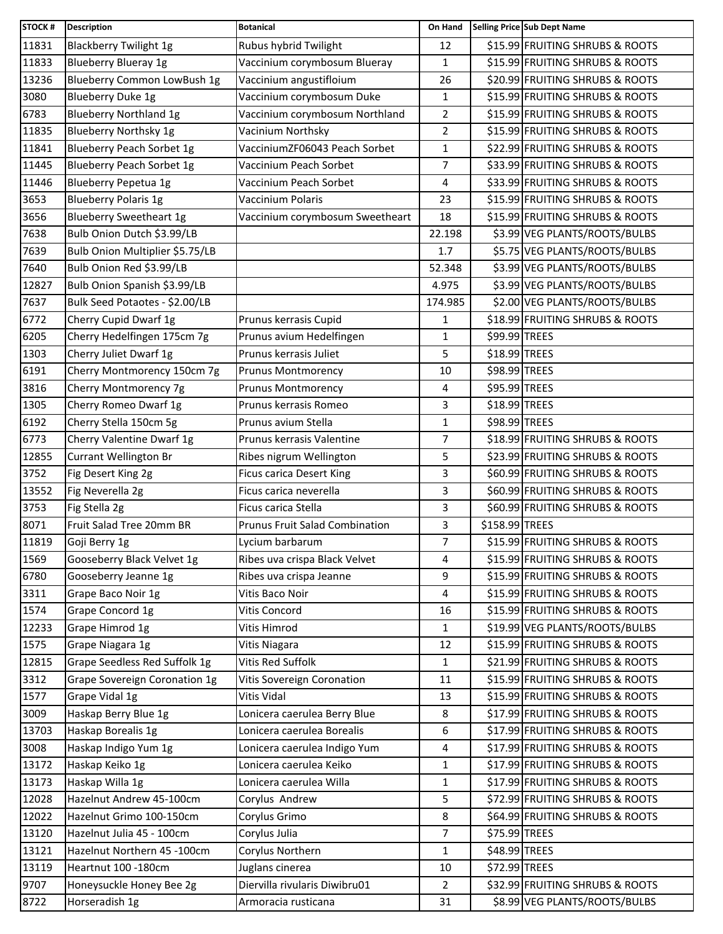| <b>STOCK#</b> | <b>Description</b>               | <b>Botanical</b>                      | On Hand        |                | Selling Price Sub Dept Name     |
|---------------|----------------------------------|---------------------------------------|----------------|----------------|---------------------------------|
| 11831         | <b>Blackberry Twilight 1g</b>    | Rubus hybrid Twilight                 | 12             |                | \$15.99 FRUITING SHRUBS & ROOTS |
| 11833         | <b>Blueberry Blueray 1g</b>      | Vaccinium corymbosum Blueray          | $\mathbf{1}$   |                | \$15.99 FRUITING SHRUBS & ROOTS |
| 13236         | Blueberry Common LowBush 1g      | Vaccinium angustifloium               | 26             |                | \$20.99 FRUITING SHRUBS & ROOTS |
| 3080          | Blueberry Duke 1g                | Vaccinium corymbosum Duke             | $\mathbf{1}$   |                | \$15.99 FRUITING SHRUBS & ROOTS |
| 6783          | <b>Blueberry Northland 1g</b>    | Vaccinium corymbosum Northland        | $\overline{2}$ |                | \$15.99 FRUITING SHRUBS & ROOTS |
| 11835         | <b>Blueberry Northsky 1g</b>     | Vacinium Northsky                     | $\overline{2}$ |                | \$15.99 FRUITING SHRUBS & ROOTS |
| 11841         | Blueberry Peach Sorbet 1g        | VacciniumZF06043 Peach Sorbet         | $\mathbf{1}$   |                | \$22.99 FRUITING SHRUBS & ROOTS |
| 11445         | <b>Blueberry Peach Sorbet 1g</b> | Vaccinium Peach Sorbet                | 7              |                | \$33.99 FRUITING SHRUBS & ROOTS |
| 11446         | Blueberry Pepetua 1g             | Vaccinium Peach Sorbet                | 4              |                | \$33.99 FRUITING SHRUBS & ROOTS |
| 3653          | <b>Blueberry Polaris 1g</b>      | Vaccinium Polaris                     | 23             |                | \$15.99 FRUITING SHRUBS & ROOTS |
| 3656          | <b>Blueberry Sweetheart 1g</b>   | Vaccinium corymbosum Sweetheart       | 18             |                | \$15.99 FRUITING SHRUBS & ROOTS |
| 7638          | Bulb Onion Dutch \$3.99/LB       |                                       | 22.198         |                | \$3.99 VEG PLANTS/ROOTS/BULBS   |
| 7639          | Bulb Onion Multiplier \$5.75/LB  |                                       | 1.7            |                | \$5.75 VEG PLANTS/ROOTS/BULBS   |
| 7640          | Bulb Onion Red \$3.99/LB         |                                       | 52.348         |                | \$3.99 VEG PLANTS/ROOTS/BULBS   |
| 12827         | Bulb Onion Spanish \$3.99/LB     |                                       | 4.975          |                | \$3.99 VEG PLANTS/ROOTS/BULBS   |
| 7637          | Bulk Seed Potaotes - \$2.00/LB   |                                       | 174.985        |                | \$2.00 VEG PLANTS/ROOTS/BULBS   |
| 6772          | Cherry Cupid Dwarf 1g            | Prunus kerrasis Cupid                 | 1              |                | \$18.99 FRUITING SHRUBS & ROOTS |
| 6205          | Cherry Hedelfingen 175cm 7g      | Prunus avium Hedelfingen              | $\mathbf{1}$   | \$99.99 TREES  |                                 |
| 1303          | Cherry Juliet Dwarf 1g           | Prunus kerrasis Juliet                | 5              | \$18.99 TREES  |                                 |
| 6191          | Cherry Montmorency 150cm 7g      | Prunus Montmorency                    | 10             | \$98.99 TREES  |                                 |
| 3816          | Cherry Montmorency 7g            | <b>Prunus Montmorency</b>             | $\overline{4}$ | \$95.99 TREES  |                                 |
| 1305          | Cherry Romeo Dwarf 1g            | Prunus kerrasis Romeo                 | 3              | \$18.99 TREES  |                                 |
| 6192          | Cherry Stella 150cm 5g           | Prunus avium Stella                   | $\mathbf{1}$   | \$98.99 TREES  |                                 |
| 6773          | Cherry Valentine Dwarf 1g        | Prunus kerrasis Valentine             | $\overline{7}$ |                | \$18.99 FRUITING SHRUBS & ROOTS |
| 12855         | Currant Wellington Br            | Ribes nigrum Wellington               | 5              |                | \$23.99 FRUITING SHRUBS & ROOTS |
| 3752          | Fig Desert King 2g               | <b>Ficus carica Desert King</b>       | 3              |                | \$60.99 FRUITING SHRUBS & ROOTS |
| 13552         | Fig Neverella 2g                 | Ficus carica neverella                | 3              |                | \$60.99 FRUITING SHRUBS & ROOTS |
| 3753          | Fig Stella 2g                    | Ficus carica Stella                   | 3              |                | \$60.99 FRUITING SHRUBS & ROOTS |
| 8071          | Fruit Salad Tree 20mm BR         | <b>Prunus Fruit Salad Combination</b> | 3              | \$158.99 TREES |                                 |
| 11819         | Goji Berry 1g                    | Lycium barbarum                       | 7              |                | \$15.99 FRUITING SHRUBS & ROOTS |
| 1569          | Gooseberry Black Velvet 1g       | Ribes uva crispa Black Velvet         | 4              |                | \$15.99 FRUITING SHRUBS & ROOTS |
| 6780          | Gooseberry Jeanne 1g             | Ribes uva crispa Jeanne               | 9              |                | \$15.99 FRUITING SHRUBS & ROOTS |
| 3311          | Grape Baco Noir 1g               | Vitis Baco Noir                       | 4              |                | \$15.99 FRUITING SHRUBS & ROOTS |
| 1574          | Grape Concord 1g                 | Vitis Concord                         | 16             |                | \$15.99 FRUITING SHRUBS & ROOTS |
| 12233         | Grape Himrod 1g                  | Vitis Himrod                          | $\mathbf{1}$   |                | \$19.99 VEG PLANTS/ROOTS/BULBS  |
| 1575          | Grape Niagara 1g                 | Vitis Niagara                         | 12             |                | \$15.99 FRUITING SHRUBS & ROOTS |
| 12815         | Grape Seedless Red Suffolk 1g    | Vitis Red Suffolk                     | $\mathbf{1}$   |                | \$21.99 FRUITING SHRUBS & ROOTS |
| 3312          | Grape Sovereign Coronation 1g    | Vitis Sovereign Coronation            | 11             |                | \$15.99 FRUITING SHRUBS & ROOTS |
| 1577          | Grape Vidal 1g                   | Vitis Vidal                           | 13             |                | \$15.99 FRUITING SHRUBS & ROOTS |
| 3009          | Haskap Berry Blue 1g             | Lonicera caerulea Berry Blue          | 8              |                | \$17.99 FRUITING SHRUBS & ROOTS |
| 13703         | Haskap Borealis 1g               | Lonicera caerulea Borealis            | 6              |                | \$17.99 FRUITING SHRUBS & ROOTS |
| 3008          | Haskap Indigo Yum 1g             | Lonicera caerulea Indigo Yum          | 4              |                | \$17.99 FRUITING SHRUBS & ROOTS |
| 13172         | Haskap Keiko 1g                  | Lonicera caerulea Keiko               | $\mathbf{1}$   |                | \$17.99 FRUITING SHRUBS & ROOTS |
| 13173         | Haskap Willa 1g                  | Lonicera caerulea Willa               | $\mathbf{1}$   |                | \$17.99 FRUITING SHRUBS & ROOTS |
| 12028         | Hazelnut Andrew 45-100cm         | Corylus Andrew                        | 5              |                | \$72.99 FRUITING SHRUBS & ROOTS |
| 12022         | Hazelnut Grimo 100-150cm         | Corylus Grimo                         | 8              |                | \$64.99 FRUITING SHRUBS & ROOTS |
| 13120         | Hazelnut Julia 45 - 100cm        | Corylus Julia                         | $\overline{7}$ | \$75.99 TREES  |                                 |
| 13121         | Hazelnut Northern 45 -100cm      | Corylus Northern                      | $\mathbf{1}$   | \$48.99 TREES  |                                 |
| 13119         | Heartnut 100 -180cm              | Juglans cinerea                       | 10             | \$72.99 TREES  |                                 |
| 9707          | Honeysuckle Honey Bee 2g         | Diervilla rivularis Diwibru01         | $\overline{2}$ |                | \$32.99 FRUITING SHRUBS & ROOTS |
| 8722          | Horseradish 1g                   | Armoracia rusticana                   | 31             |                | \$8.99 VEG PLANTS/ROOTS/BULBS   |